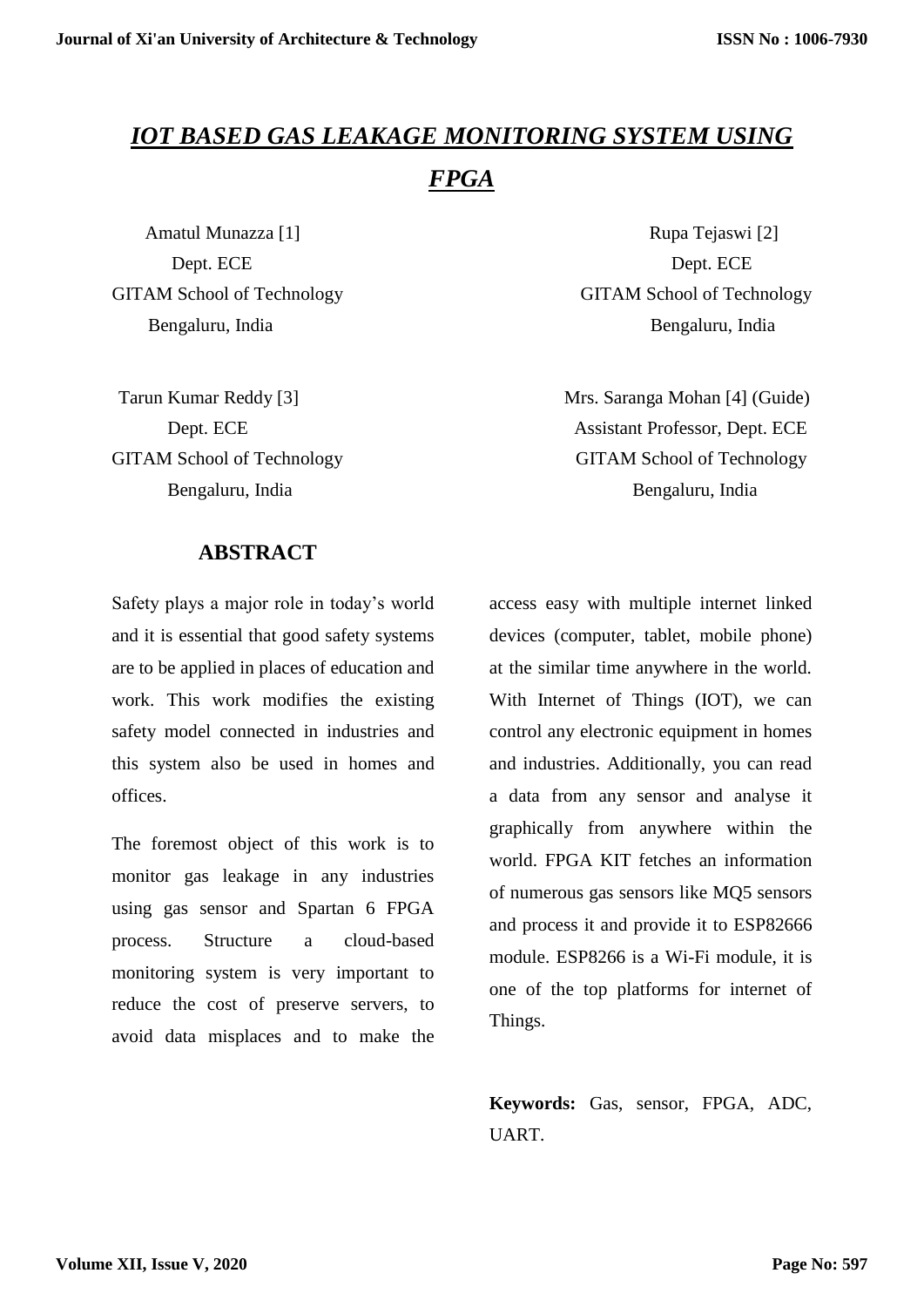# *IOT BASED GAS LEAKAGE MONITORING SYSTEM USING FPGA*

 **ABSTRACT**

Safety plays a major role in today's world and it is essential that good safety systems are to be applied in places of education and work. This work modifies the existing safety model connected in industries and this system also be used in homes and offices.

The foremost object of this work is to monitor gas leakage in any industries using gas sensor and Spartan 6 FPGA process. Structure a cloud-based monitoring system is very important to reduce the cost of preserve servers, to avoid data misplaces and to make the

Amatul Munazza [1] Rupa Tejaswi [2] Dept. ECE Dept. ECE GITAM School of Technology GITAM School of Technology Bengaluru, India Bengaluru, India

Tarun Kumar Reddy [3] Mrs. Saranga Mohan [4] (Guide) Dept. ECE Assistant Professor, Dept. ECE GITAM School of Technology GITAM School of Technology Bengaluru, India Bengaluru, India

> access easy with multiple internet linked devices (computer, tablet, mobile phone) at the similar time anywhere in the world. With Internet of Things (IOT), we can control any electronic equipment in homes and industries. Additionally, you can read a data from any sensor and analyse it graphically from anywhere within the world. FPGA KIT fetches an information of numerous gas sensors like MQ5 sensors and process it and provide it to ESP82666 module. ESP8266 is a Wi-Fi module, it is one of the top platforms for internet of Things.

> **Keywords:** Gas, sensor, FPGA, ADC, UART.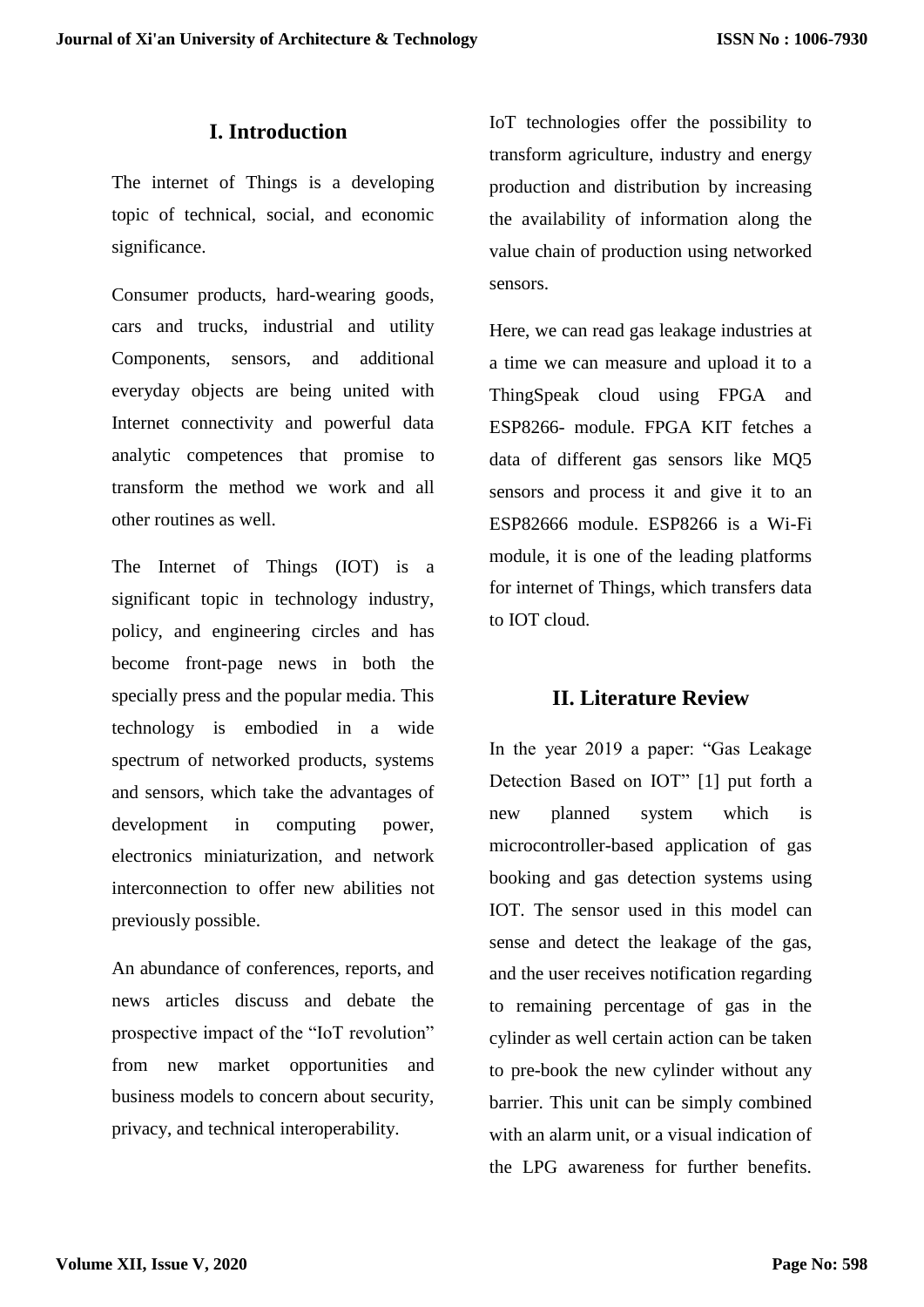## **I. Introduction**

The internet of Things is a developing topic of technical, social, and economic significance.

Consumer products, hard-wearing goods, cars and trucks, industrial and utility Components, sensors, and additional everyday objects are being united with Internet connectivity and powerful data analytic competences that promise to transform the method we work and all other routines as well.

The Internet of Things (IOT) is a significant topic in technology industry, policy, and engineering circles and has become front-page news in both the specially press and the popular media. This technology is embodied in a wide spectrum of networked products, systems and sensors, which take the advantages of development in computing power, electronics miniaturization, and network interconnection to offer new abilities not previously possible.

An abundance of conferences, reports, and news articles discuss and debate the prospective impact of the "IoT revolution" from new market opportunities and business models to concern about security, privacy, and technical interoperability.

IoT technologies offer the possibility to transform agriculture, industry and energy production and distribution by increasing the availability of information along the value chain of production using networked sensors.

Here, we can read gas leakage industries at a time we can measure and upload it to a ThingSpeak cloud using FPGA and ESP8266- module. FPGA KIT fetches a data of different gas sensors like MQ5 sensors and process it and give it to an ESP82666 module. ESP8266 is a Wi-Fi module, it is one of the leading platforms for internet of Things, which transfers data to IOT cloud.

## **II. Literature Review**

In the year 2019 a paper: "Gas Leakage Detection Based on IOT" [1] put forth a new planned system which is microcontroller-based application of gas booking and gas detection systems using IOT. The sensor used in this model can sense and detect the leakage of the gas, and the user receives notification regarding to remaining percentage of gas in the cylinder as well certain action can be taken to pre-book the new cylinder without any barrier. This unit can be simply combined with an alarm unit, or a visual indication of the LPG awareness for further benefits.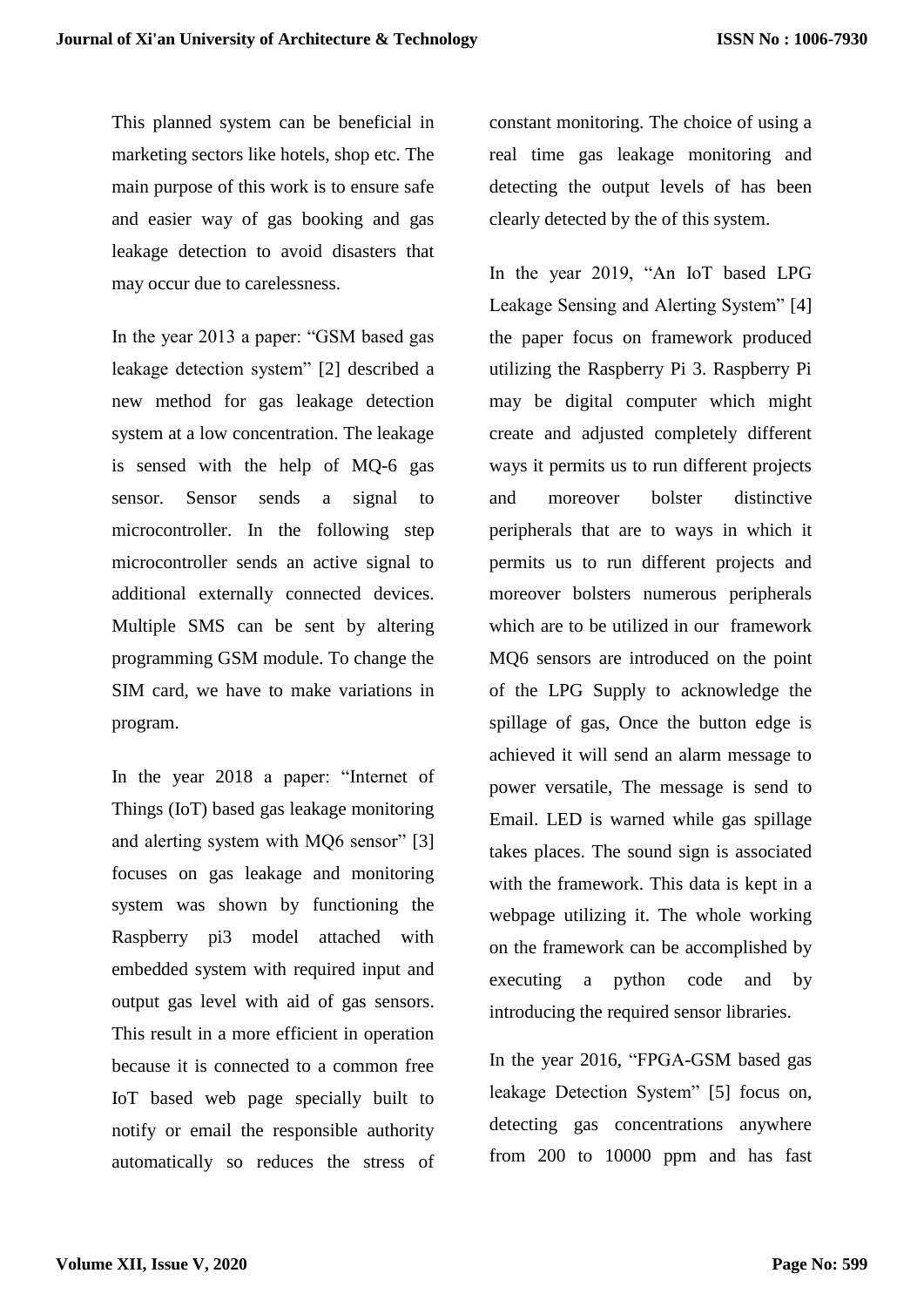This planned system can be beneficial in marketing sectors like hotels, shop etc. The main purpose of this work is to ensure safe and easier way of gas booking and gas leakage detection to avoid disasters that may occur due to carelessness.

In the year 2013 a paper: "GSM based gas leakage detection system" [2] described a new method for gas leakage detection system at a low concentration. The leakage is sensed with the help of MQ-6 gas sensor. Sensor sends a signal to microcontroller. In the following step microcontroller sends an active signal to additional externally connected devices. Multiple SMS can be sent by altering programming GSM module. To change the SIM card, we have to make variations in program.

In the year 2018 a paper: "Internet of Things (IoT) based gas leakage monitoring and alerting system with MO6 sensor" [3] focuses on gas leakage and monitoring system was shown by functioning the Raspberry pi3 model attached with embedded system with required input and output gas level with aid of gas sensors. This result in a more efficient in operation because it is connected to a common free IoT based web page specially built to notify or email the responsible authority automatically so reduces the stress of constant monitoring. The choice of using a real time gas leakage monitoring and detecting the output levels of has been clearly detected by the of this system.

In the year 2019, "An IoT based LPG Leakage Sensing and Alerting System" [4] the paper focus on framework produced utilizing the Raspberry Pi 3. Raspberry Pi may be digital computer which might create and adjusted completely different ways it permits us to run different projects and moreover bolster distinctive peripherals that are to ways in which it permits us to run different projects and moreover bolsters numerous peripherals which are to be utilized in our framework MQ6 sensors are introduced on the point of the LPG Supply to acknowledge the spillage of gas, Once the button edge is achieved it will send an alarm message to power versatile, The message is send to Email. LED is warned while gas spillage takes places. The sound sign is associated with the framework. This data is kept in a webpage utilizing it. The whole working on the framework can be accomplished by executing a python code and by introducing the required sensor libraries.

In the year 2016, "FPGA-GSM based gas leakage Detection System" [5] focus on, detecting gas concentrations anywhere from 200 to 10000 ppm and has fast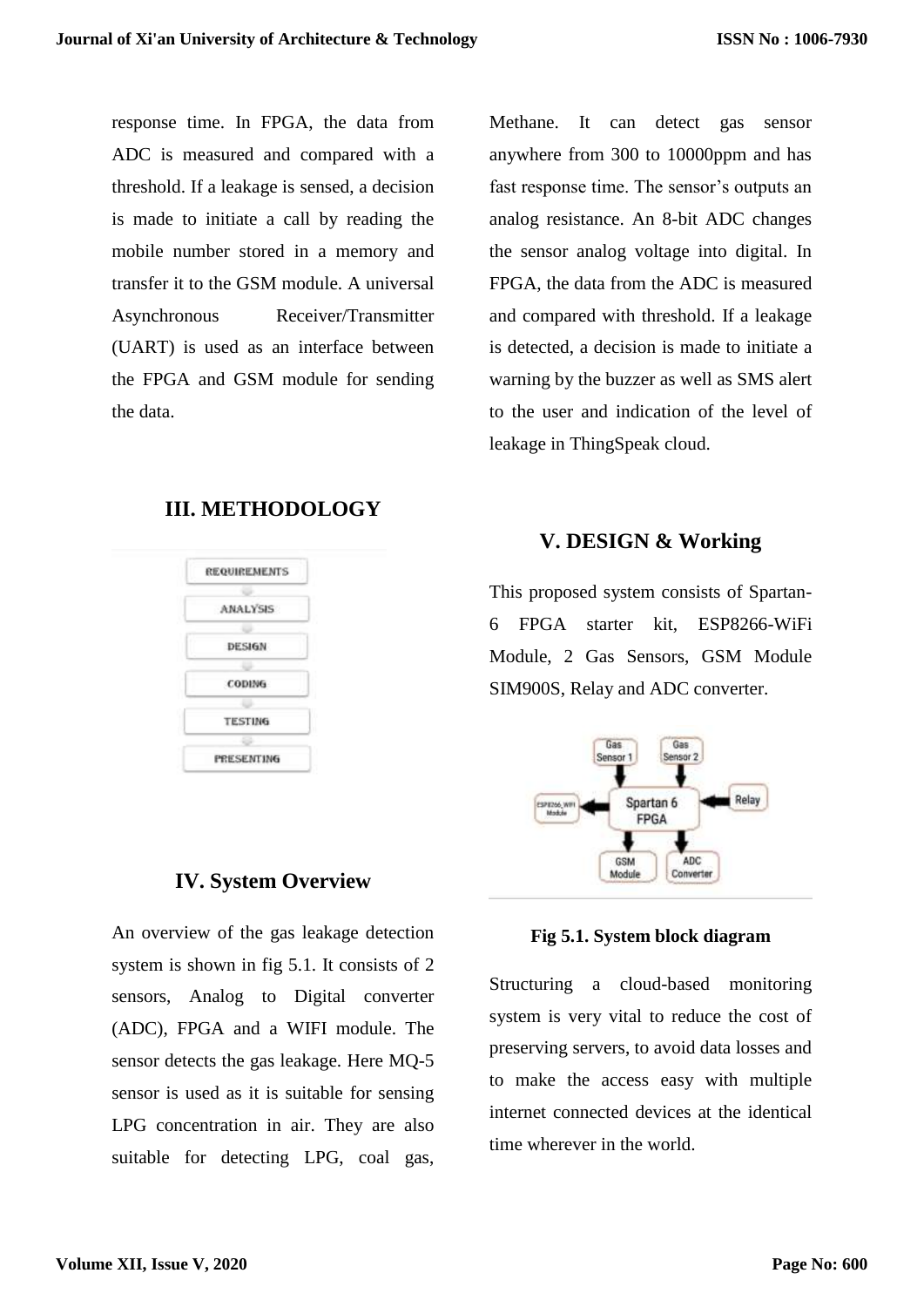response time. In FPGA, the data from ADC is measured and compared with a threshold. If a leakage is sensed, a decision is made to initiate a call by reading the mobile number stored in a memory and transfer it to the GSM module. A universal Asynchronous Receiver/Transmitter (UART) is used as an interface between the FPGA and GSM module for sending the data.

#### **III. METHODOLOGY**

| <b>REQUIREMENTS</b> |
|---------------------|
|                     |
| ANALYSIS            |
|                     |
| DESIGN              |
|                     |
| CODING              |
|                     |
| <b>TESTING</b>      |
|                     |
| <b>PRESENTING</b>   |

#### **IV. System Overview**

An overview of the gas leakage detection system is shown in fig 5.1. It consists of 2 sensors, Analog to Digital converter (ADC), FPGA and a WIFI module. The sensor detects the gas leakage. Here MQ-5 sensor is used as it is suitable for sensing LPG concentration in air. They are also suitable for detecting LPG, coal gas,

Methane. It can detect gas sensor anywhere from 300 to 10000ppm and has fast response time. The sensor's outputs an analog resistance. An 8-bit ADC changes the sensor analog voltage into digital. In FPGA, the data from the ADC is measured and compared with threshold. If a leakage is detected, a decision is made to initiate a warning by the buzzer as well as SMS alert to the user and indication of the level of leakage in ThingSpeak cloud.

# **V. DESIGN & Working**

This proposed system consists of Spartan-6 FPGA starter kit, ESP8266-WiFi Module, 2 Gas Sensors, GSM Module SIM900S, Relay and ADC converter.



**Fig 5.1. System block diagram**

Structuring a cloud-based monitoring system is very vital to reduce the cost of preserving servers, to avoid data losses and to make the access easy with multiple internet connected devices at the identical time wherever in the world.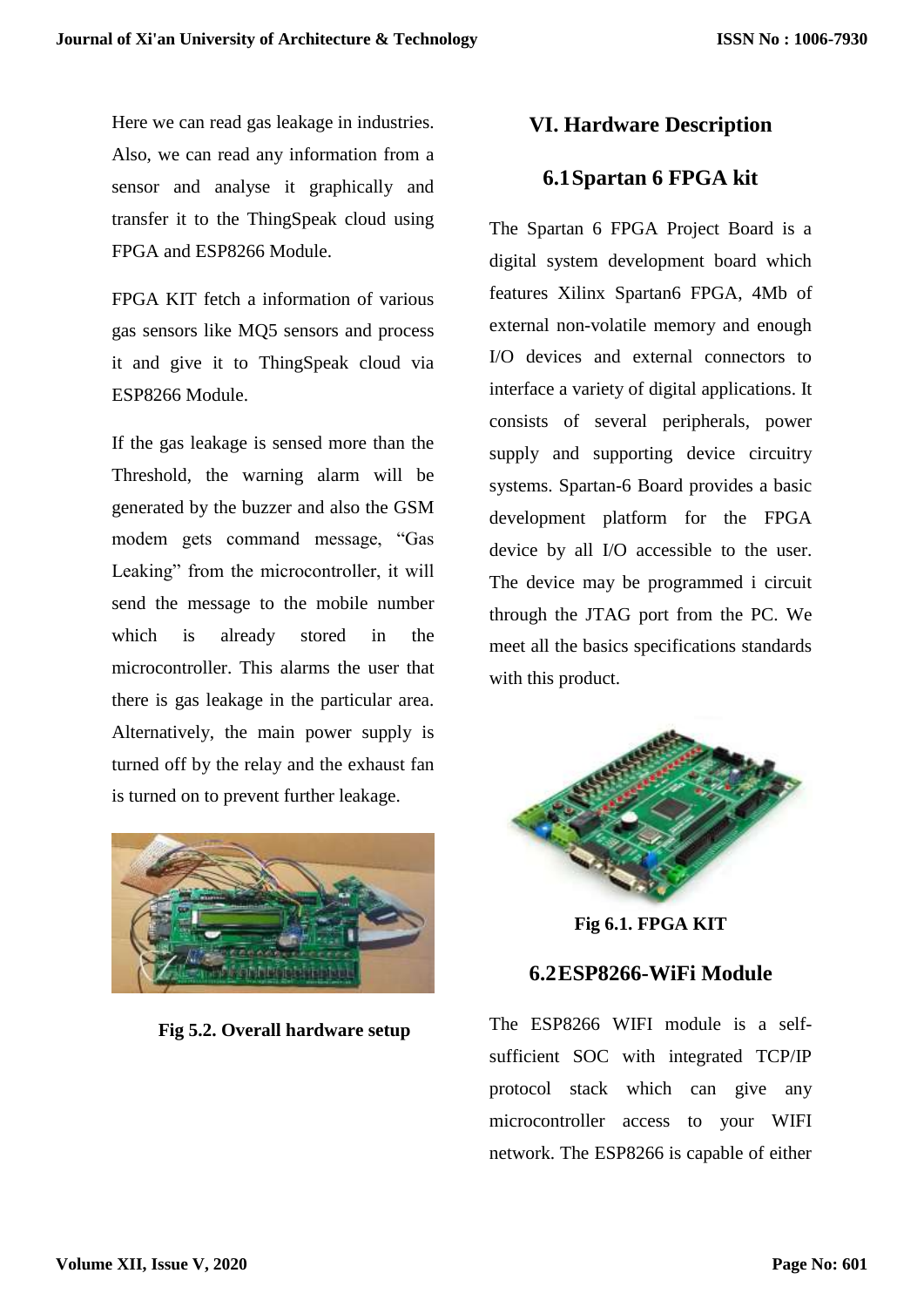Here we can read gas leakage in industries. Also, we can read any information from a sensor and analyse it graphically and transfer it to the ThingSpeak cloud using FPGA and ESP8266 Module.

FPGA KIT fetch a information of various gas sensors like MQ5 sensors and process it and give it to ThingSpeak cloud via ESP8266 Module.

If the gas leakage is sensed more than the Threshold, the warning alarm will be generated by the buzzer and also the GSM modem gets command message, "Gas Leaking" from the microcontroller, it will send the message to the mobile number which is already stored in the microcontroller. This alarms the user that there is gas leakage in the particular area. Alternatively, the main power supply is turned off by the relay and the exhaust fan is turned on to prevent further leakage.



 **Fig 5.2. Overall hardware setup**

# **VI. Hardware Description**

# **6.1Spartan 6 FPGA kit**

The Spartan 6 FPGA Project Board is a digital system development board which features Xilinx Spartan6 FPGA, 4Mb of external non-volatile memory and enough I/O devices and external connectors to interface a variety of digital applications. It consists of several peripherals, power supply and supporting device circuitry systems. Spartan-6 Board provides a basic development platform for the FPGA device by all I/O accessible to the user. The device may be programmed i circuit through the JTAG port from the PC. We meet all the basics specifications standards with this product.



**Fig 6.1. FPGA KIT**

## **6.2ESP8266-WiFi Module**

The ESP8266 WIFI module is a selfsufficient SOC with integrated TCP/IP protocol stack which can give any microcontroller access to your WIFI network. The ESP8266 is capable of either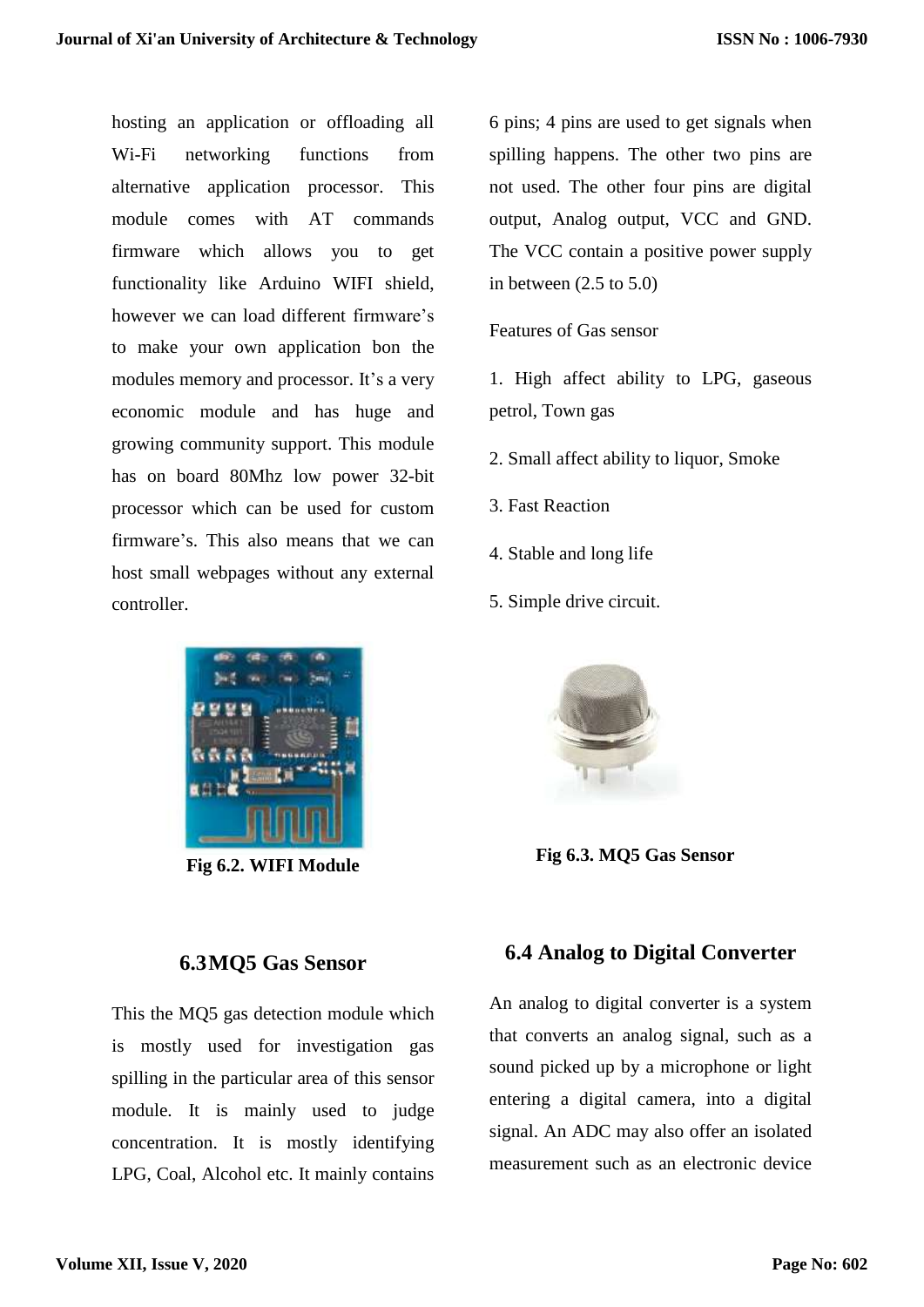hosting an application or offloading all Wi-Fi networking functions from alternative application processor. This module comes with AT commands firmware which allows you to get functionality like Arduino WIFI shield, however we can load different firmware's to make your own application bon the modules memory and processor. It's a very economic module and has huge and growing community support. This module has on board 80Mhz low power 32-bit processor which can be used for custom firmware's. This also means that we can host small webpages without any external controller.



**Fig 6.2. WIFI Module**

#### **6.3MQ5 Gas Sensor**

This the MQ5 gas detection module which is mostly used for investigation gas spilling in the particular area of this sensor module. It is mainly used to judge concentration. It is mostly identifying LPG, Coal, Alcohol etc. It mainly contains

6 pins; 4 pins are used to get signals when spilling happens. The other two pins are not used. The other four pins are digital output, Analog output, VCC and GND. The VCC contain a positive power supply in between  $(2.5 \text{ to } 5.0)$ 

#### Features of Gas sensor

1. High affect ability to LPG, gaseous petrol, Town gas

- 2. Small affect ability to liquor, Smoke
- 3. Fast Reaction
- 4. Stable and long life
- 5. Simple drive circuit.



 **Fig 6.3. MQ5 Gas Sensor**

## **6.4 Analog to Digital Converter**

An analog to digital converter is a system that converts an analog signal, such as a sound picked up by a microphone or light entering a digital camera, into a digital signal. An ADC may also offer an isolated measurement such as an electronic device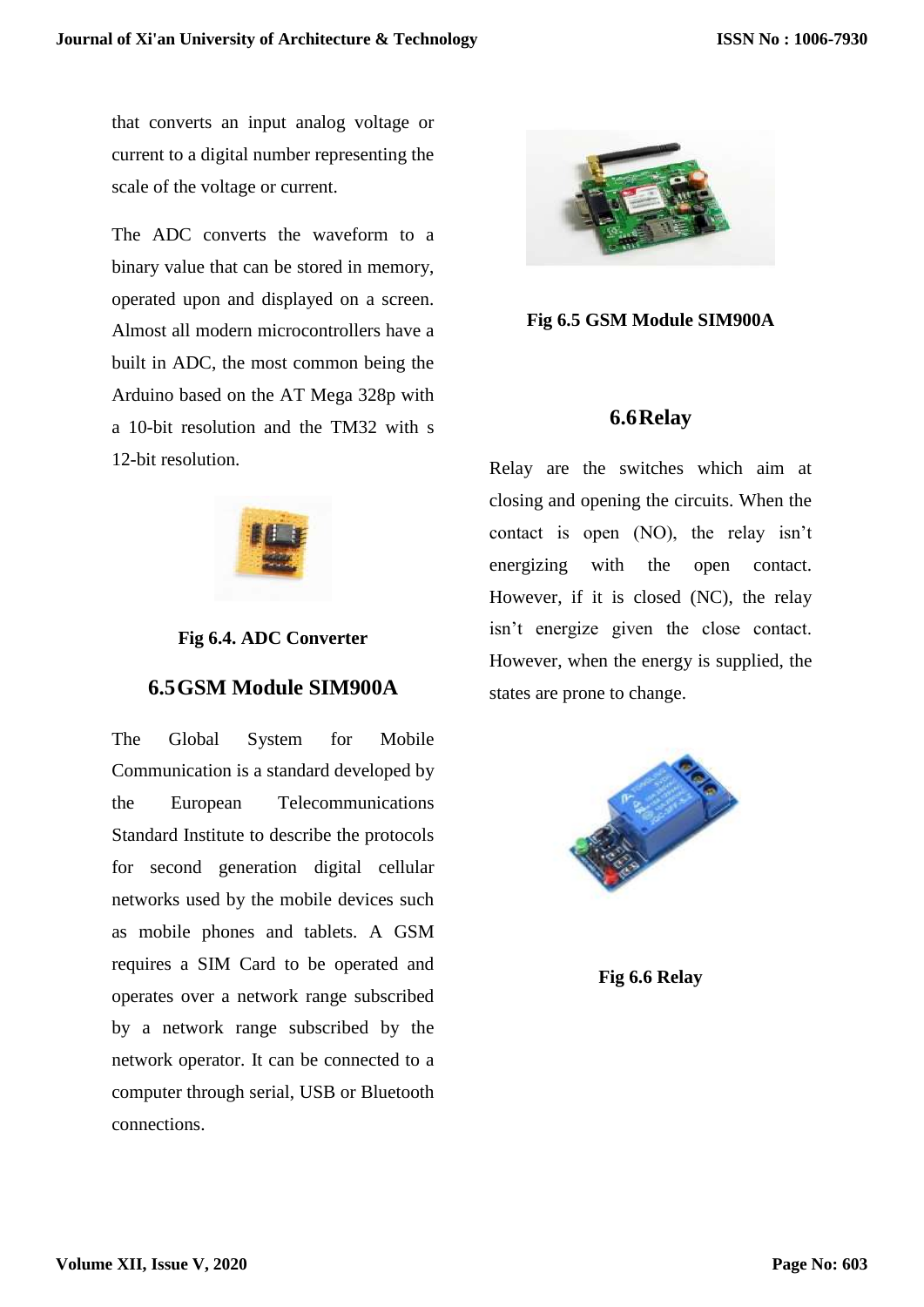that converts an input analog voltage or current to a digital number representing the scale of the voltage or current.

The ADC converts the waveform to a binary value that can be stored in memory, operated upon and displayed on a screen. Almost all modern microcontrollers have a built in ADC, the most common being the Arduino based on the AT Mega 328p with a 10-bit resolution and the TM32 with s 12-bit resolution.



#### **Fig 6.4. ADC Converter**

## **6.5GSM Module SIM900A**

The Global System for Mobile Communication is a standard developed by the European Telecommunications Standard Institute to describe the protocols for second generation digital cellular networks used by the mobile devices such as mobile phones and tablets. A GSM requires a SIM Card to be operated and operates over a network range subscribed by a network range subscribed by the network operator. It can be connected to a computer through serial, USB or Bluetooth connections.



**Fig 6.5 GSM Module SIM900A**

#### **6.6Relay**

Relay are the switches which aim at closing and opening the circuits. When the contact is open (NO), the relay isn't energizing with the open contact. However, if it is closed (NC), the relay isn't energize given the close contact. However, when the energy is supplied, the states are prone to change.



**Fig 6.6 Relay**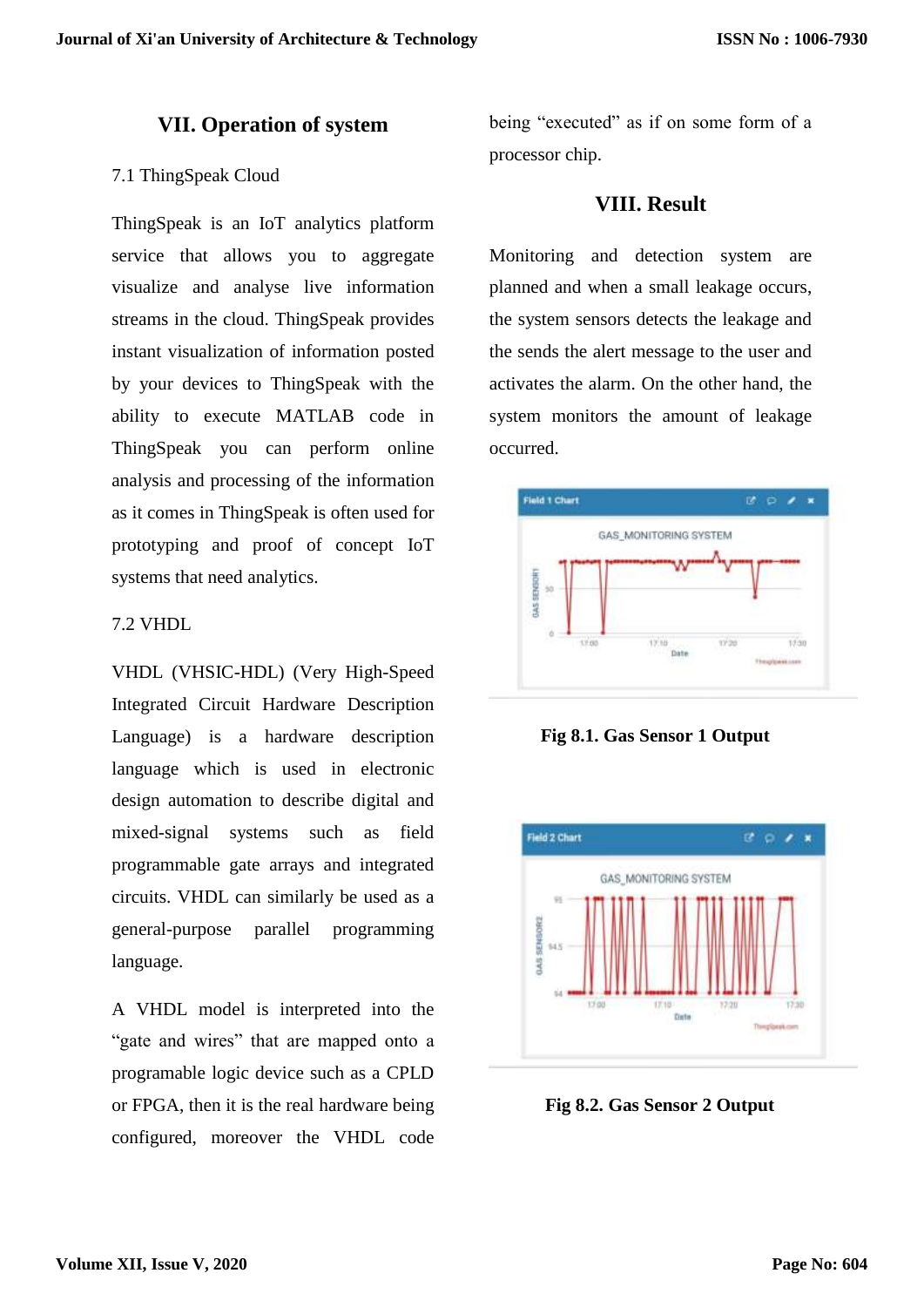#### **VII. Operation of system**

#### 7.1 ThingSpeak Cloud

ThingSpeak is an IoT analytics platform service that allows you to aggregate visualize and analyse live information streams in the cloud. ThingSpeak provides instant visualization of information posted by your devices to ThingSpeak with the ability to execute MATLAB code in ThingSpeak you can perform online analysis and processing of the information as it comes in ThingSpeak is often used for prototyping and proof of concept IoT systems that need analytics.

#### 7.2 VHDL

VHDL (VHSIC-HDL) (Very High-Speed Integrated Circuit Hardware Description Language) is a hardware description language which is used in electronic design automation to describe digital and mixed-signal systems such as field programmable gate arrays and integrated circuits. VHDL can similarly be used as a general-purpose parallel programming language.

A VHDL model is interpreted into the "gate and wires" that are mapped onto a programable logic device such as a CPLD or FPGA, then it is the real hardware being configured, moreover the VHDL code

being "executed" as if on some form of a processor chip.

#### **VIII. Result**

Monitoring and detection system are planned and when a small leakage occurs, the system sensors detects the leakage and the sends the alert message to the user and activates the alarm. On the other hand, the system monitors the amount of leakage occurred.



 **Fig 8.1. Gas Sensor 1 Output**



 **Fig 8.2. Gas Sensor 2 Output**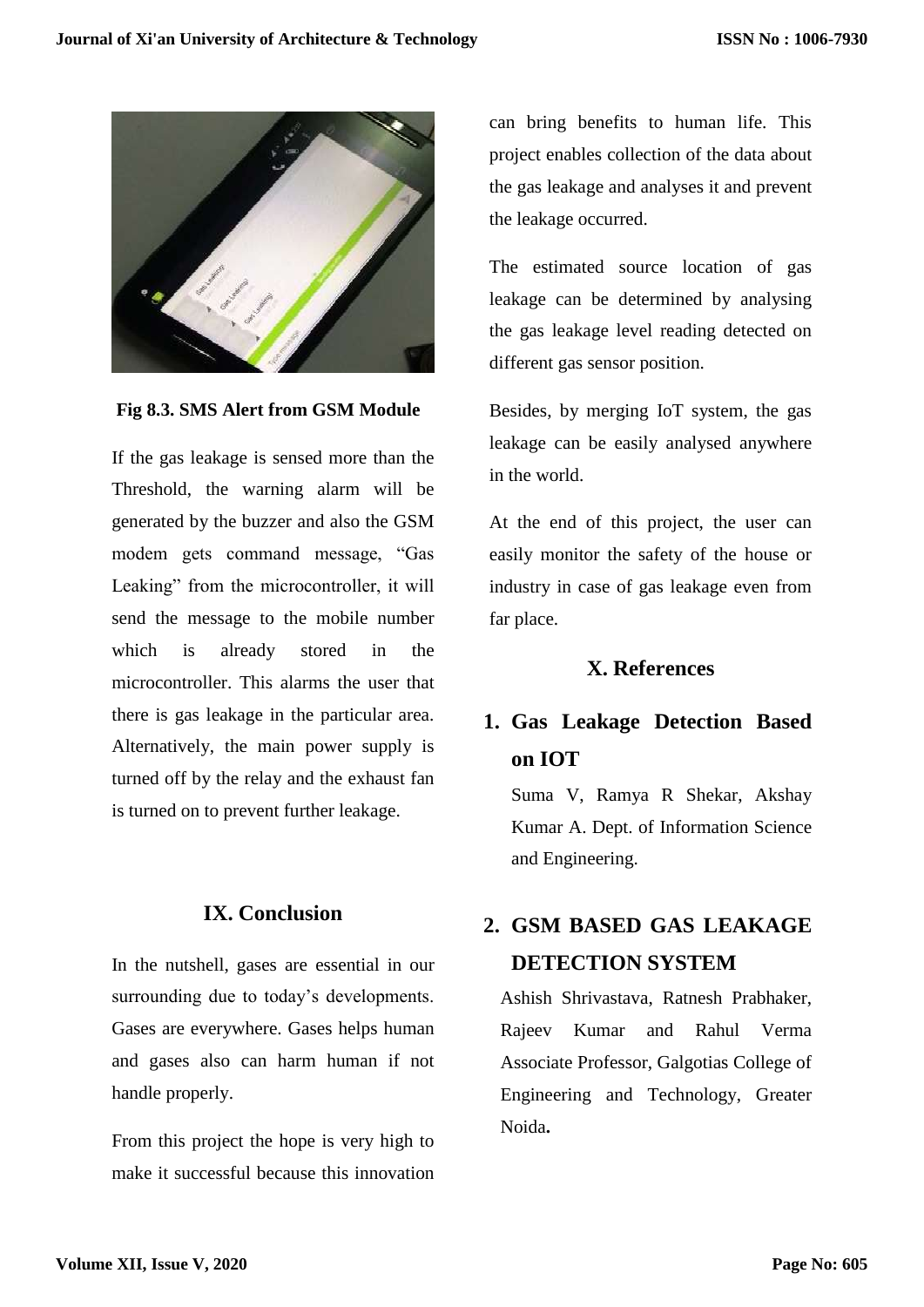

#### **Fig 8.3. SMS Alert from GSM Module**

If the gas leakage is sensed more than the Threshold, the warning alarm will be generated by the buzzer and also the GSM modem gets command message, "Gas Leaking" from the microcontroller, it will send the message to the mobile number which is already stored in the microcontroller. This alarms the user that there is gas leakage in the particular area. Alternatively, the main power supply is turned off by the relay and the exhaust fan is turned on to prevent further leakage.

#### **IX. Conclusion**

In the nutshell, gases are essential in our surrounding due to today's developments. Gases are everywhere. Gases helps human and gases also can harm human if not handle properly.

From this project the hope is very high to make it successful because this innovation can bring benefits to human life. This project enables collection of the data about the gas leakage and analyses it and prevent the leakage occurred.

The estimated source location of gas leakage can be determined by analysing the gas leakage level reading detected on different gas sensor position.

Besides, by merging IoT system, the gas leakage can be easily analysed anywhere in the world.

At the end of this project, the user can easily monitor the safety of the house or industry in case of gas leakage even from far place.

#### **X. References**

# **1. Gas Leakage Detection Based on IOT**

Suma V, Ramya R Shekar, Akshay Kumar A. Dept. of Information Science and Engineering.

# **2. GSM BASED GAS LEAKAGE DETECTION SYSTEM**

Ashish Shrivastava, Ratnesh Prabhaker, Rajeev Kumar and Rahul Verma Associate Professor, Galgotias College of Engineering and Technology, Greater Noida**.**